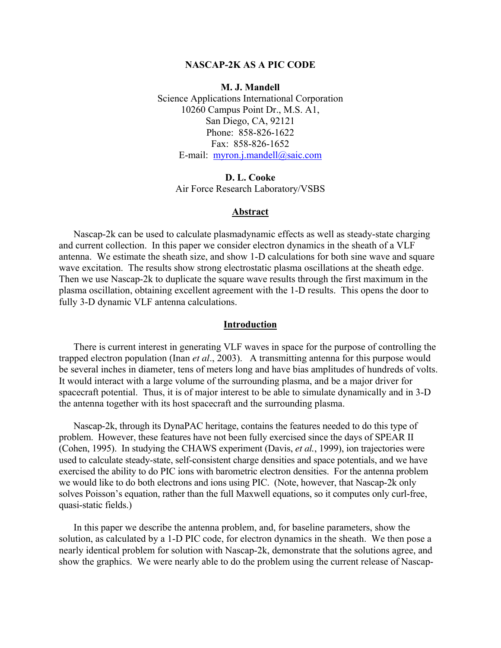## **NASCAP-2K AS A PIC CODE**

**M. J. Mandell** 

Science Applications International Corporation 10260 Campus Point Dr., M.S. A1, San Diego, CA, 92121 Phone: 858-826-1622 Fax: 858-826-1652 E-mail: [myron.j.mandell@saic.com](mailto:myron.j.mandell@saic.com)

**D. L. Cooke** Air Force Research Laboratory/VSBS

### **Abstract**

Nascap-2k can be used to calculate plasmadynamic effects as well as steady-state charging and current collection. In this paper we consider electron dynamics in the sheath of a VLF antenna. We estimate the sheath size, and show 1-D calculations for both sine wave and square wave excitation. The results show strong electrostatic plasma oscillations at the sheath edge. Then we use Nascap-2k to duplicate the square wave results through the first maximum in the plasma oscillation, obtaining excellent agreement with the 1-D results. This opens the door to fully 3-D dynamic VLF antenna calculations.

## **Introduction**

There is current interest in generating VLF waves in space for the purpose of controlling the trapped electron population (Inan *et al*., 2003). A transmitting antenna for this purpose would be several inches in diameter, tens of meters long and have bias amplitudes of hundreds of volts. It would interact with a large volume of the surrounding plasma, and be a major driver for spacecraft potential. Thus, it is of major interest to be able to simulate dynamically and in 3-D the antenna together with its host spacecraft and the surrounding plasma.

Nascap-2k, through its DynaPAC heritage, contains the features needed to do this type of problem. However, these features have not been fully exercised since the days of SPEAR II (Cohen, 1995). In studying the CHAWS experiment (Davis, *et al.*, 1999), ion trajectories were used to calculate steady-state, self-consistent charge densities and space potentials, and we have exercised the ability to do PIC ions with barometric electron densities. For the antenna problem we would like to do both electrons and ions using PIC. (Note, however, that Nascap-2k only solves Poisson's equation, rather than the full Maxwell equations, so it computes only curl-free, quasi-static fields.)

In this paper we describe the antenna problem, and, for baseline parameters, show the solution, as calculated by a 1-D PIC code, for electron dynamics in the sheath. We then pose a nearly identical problem for solution with Nascap-2k, demonstrate that the solutions agree, and show the graphics. We were nearly able to do the problem using the current release of Nascap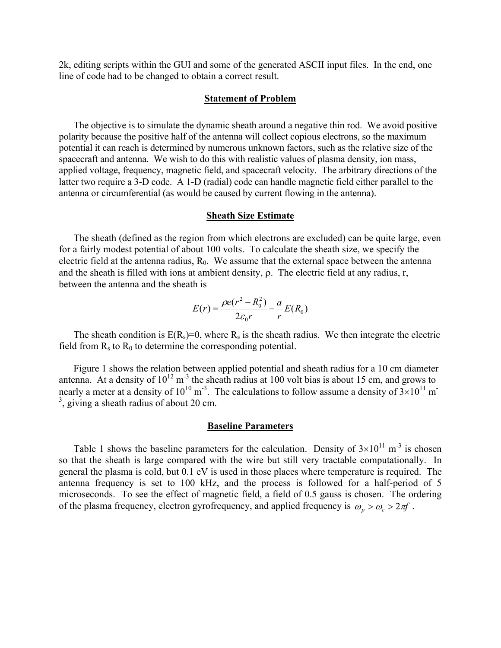2k, editing scripts within the GUI and some of the generated ASCII input files. In the end, one line of code had to be changed to obtain a correct result.

### **Statement of Problem**

The objective is to simulate the dynamic sheath around a negative thin rod. We avoid positive polarity because the positive half of the antenna will collect copious electrons, so the maximum potential it can reach is determined by numerous unknown factors, such as the relative size of the spacecraft and antenna. We wish to do this with realistic values of plasma density, ion mass, applied voltage, frequency, magnetic field, and spacecraft velocity. The arbitrary directions of the latter two require a 3-D code. A 1-D (radial) code can handle magnetic field either parallel to the antenna or circumferential (as would be caused by current flowing in the antenna).

## **Sheath Size Estimate**

The sheath (defined as the region from which electrons are excluded) can be quite large, even for a fairly modest potential of about 100 volts. To calculate the sheath size, we specify the electric field at the antenna radius,  $R_0$ . We assume that the external space between the antenna and the sheath is filled with ions at ambient density, ρ. The electric field at any radius, r, between the antenna and the sheath is

$$
E(r) = \frac{\rho e(r^2 - R_0^2)}{2\varepsilon_0 r} - \frac{a}{r}E(R_0)
$$

The sheath condition is  $E(R_s)=0$ , where  $R_s$  is the sheath radius. We then integrate the electric field from  $R_s$  to  $R_0$  to determine the corresponding potential.

Figure 1 shows the relation between applied potential and sheath radius for a 10 cm diameter antenna. At a density of  $10^{12}$  m<sup>-3</sup> the sheath radius at 100 volt bias is about 15 cm, and grows to nearly a meter at a density of  $10^{10}$  m<sup>-3</sup>. The calculations to follow assume a density of  $3\times10^{11}$  m<sup>-</sup>  $3$ , giving a sheath radius of about 20 cm.

#### **Baseline Parameters**

Table 1 shows the baseline parameters for the calculation. Density of  $3\times10^{11}$  m<sup>-3</sup> is chosen so that the sheath is large compared with the wire but still very tractable computationally. In general the plasma is cold, but 0.1 eV is used in those places where temperature is required. The antenna frequency is set to 100 kHz, and the process is followed for a half-period of 5 microseconds. To see the effect of magnetic field, a field of 0.5 gauss is chosen. The ordering of the plasma frequency, electron gyrofrequency, and applied frequency is  $\omega_p > \omega_c > 2\pi f$ .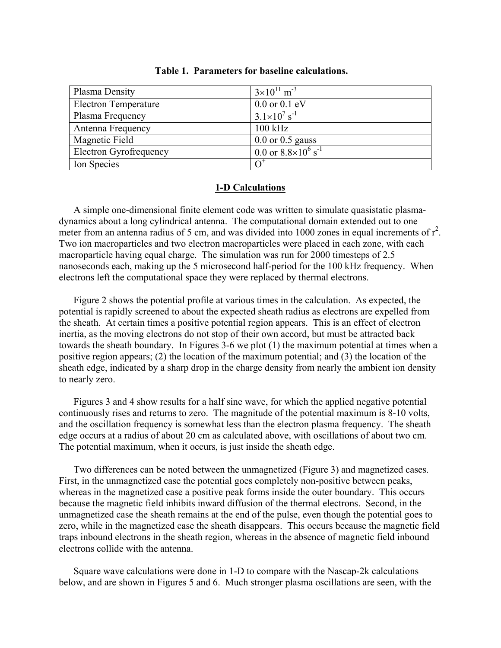| Plasma Density                | $3\times10^{11}$ m <sup>-3</sup>         |
|-------------------------------|------------------------------------------|
| <b>Electron Temperature</b>   | $0.0$ or $0.1$ eV                        |
| Plasma Frequency              | $3.1 \times 10^{7}$ s <sup>-1</sup>      |
| Antenna Frequency             | $100$ kHz                                |
| Magnetic Field                | $0.0$ or $0.5$ gauss                     |
| <b>Electron Gyrofrequency</b> | 0.0 or $8.8 \times 10^6$ s <sup>-1</sup> |
| Ion Species                   |                                          |

|  |  |  |  | Table 1. Parameters for baseline calculations. |
|--|--|--|--|------------------------------------------------|
|--|--|--|--|------------------------------------------------|

# **1-D Calculations**

A simple one-dimensional finite element code was written to simulate quasistatic plasmadynamics about a long cylindrical antenna. The computational domain extended out to one meter from an antenna radius of 5 cm, and was divided into 1000 zones in equal increments of  $r^2$ . Two ion macroparticles and two electron macroparticles were placed in each zone, with each macroparticle having equal charge. The simulation was run for 2000 timesteps of 2.5 nanoseconds each, making up the 5 microsecond half-period for the 100 kHz frequency. When electrons left the computational space they were replaced by thermal electrons.

Figure 2 shows the potential profile at various times in the calculation. As expected, the potential is rapidly screened to about the expected sheath radius as electrons are expelled from the sheath. At certain times a positive potential region appears. This is an effect of electron inertia, as the moving electrons do not stop of their own accord, but must be attracted back towards the sheath boundary. In Figures 3-6 we plot (1) the maximum potential at times when a positive region appears; (2) the location of the maximum potential; and (3) the location of the sheath edge, indicated by a sharp drop in the charge density from nearly the ambient ion density to nearly zero.

Figures 3 and 4 show results for a half sine wave, for which the applied negative potential continuously rises and returns to zero. The magnitude of the potential maximum is 8-10 volts, and the oscillation frequency is somewhat less than the electron plasma frequency. The sheath edge occurs at a radius of about 20 cm as calculated above, with oscillations of about two cm. The potential maximum, when it occurs, is just inside the sheath edge.

Two differences can be noted between the unmagnetized (Figure 3) and magnetized cases. First, in the unmagnetized case the potential goes completely non-positive between peaks, whereas in the magnetized case a positive peak forms inside the outer boundary. This occurs because the magnetic field inhibits inward diffusion of the thermal electrons. Second, in the unmagnetized case the sheath remains at the end of the pulse, even though the potential goes to zero, while in the magnetized case the sheath disappears. This occurs because the magnetic field traps inbound electrons in the sheath region, whereas in the absence of magnetic field inbound electrons collide with the antenna.

Square wave calculations were done in 1-D to compare with the Nascap-2k calculations below, and are shown in Figures 5 and 6. Much stronger plasma oscillations are seen, with the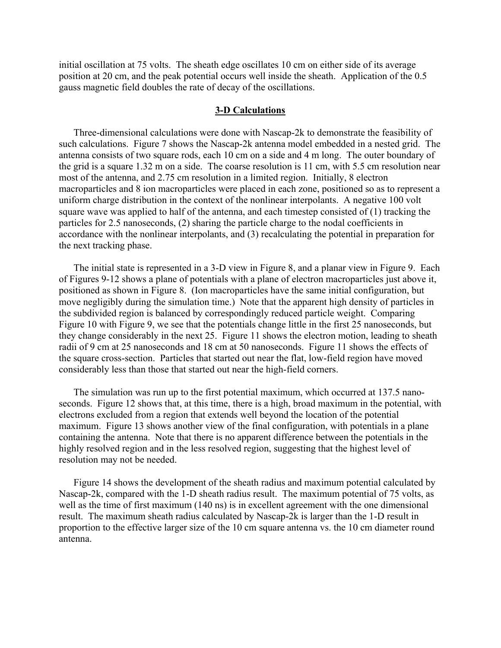initial oscillation at 75 volts. The sheath edge oscillates 10 cm on either side of its average position at 20 cm, and the peak potential occurs well inside the sheath. Application of the 0.5 gauss magnetic field doubles the rate of decay of the oscillations.

### **3-D Calculations**

Three-dimensional calculations were done with Nascap-2k to demonstrate the feasibility of such calculations. Figure 7 shows the Nascap-2k antenna model embedded in a nested grid. The antenna consists of two square rods, each 10 cm on a side and 4 m long. The outer boundary of the grid is a square 1.32 m on a side. The coarse resolution is 11 cm, with 5.5 cm resolution near most of the antenna, and 2.75 cm resolution in a limited region. Initially, 8 electron macroparticles and 8 ion macroparticles were placed in each zone, positioned so as to represent a uniform charge distribution in the context of the nonlinear interpolants. A negative 100 volt square wave was applied to half of the antenna, and each timestep consisted of (1) tracking the particles for 2.5 nanoseconds, (2) sharing the particle charge to the nodal coefficients in accordance with the nonlinear interpolants, and (3) recalculating the potential in preparation for the next tracking phase.

The initial state is represented in a 3-D view in Figure 8, and a planar view in Figure 9. Each of Figures 9-12 shows a plane of potentials with a plane of electron macroparticles just above it, positioned as shown in Figure 8. (Ion macroparticles have the same initial configuration, but move negligibly during the simulation time.) Note that the apparent high density of particles in the subdivided region is balanced by correspondingly reduced particle weight. Comparing Figure 10 with Figure 9, we see that the potentials change little in the first 25 nanoseconds, but they change considerably in the next 25. Figure 11 shows the electron motion, leading to sheath radii of 9 cm at 25 nanoseconds and 18 cm at 50 nanoseconds. Figure 11 shows the effects of the square cross-section. Particles that started out near the flat, low-field region have moved considerably less than those that started out near the high-field corners.

The simulation was run up to the first potential maximum, which occurred at 137.5 nanoseconds. Figure 12 shows that, at this time, there is a high, broad maximum in the potential, with electrons excluded from a region that extends well beyond the location of the potential maximum. Figure 13 shows another view of the final configuration, with potentials in a plane containing the antenna. Note that there is no apparent difference between the potentials in the highly resolved region and in the less resolved region, suggesting that the highest level of resolution may not be needed.

Figure 14 shows the development of the sheath radius and maximum potential calculated by Nascap-2k, compared with the 1-D sheath radius result. The maximum potential of 75 volts, as well as the time of first maximum (140 ns) is in excellent agreement with the one dimensional result. The maximum sheath radius calculated by Nascap-2k is larger than the 1-D result in proportion to the effective larger size of the 10 cm square antenna vs. the 10 cm diameter round antenna.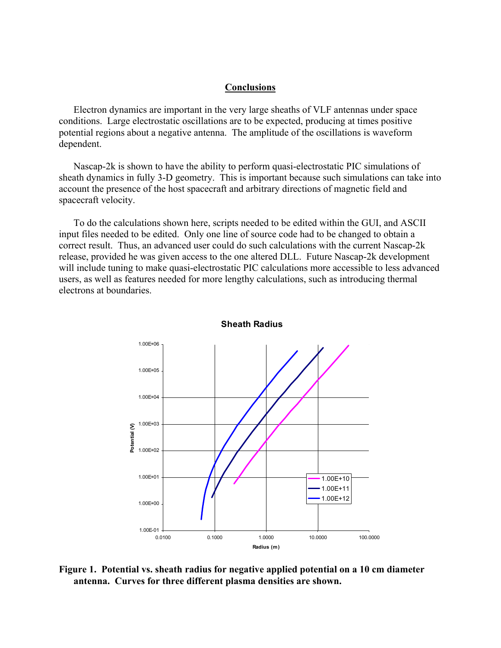## **Conclusions**

Electron dynamics are important in the very large sheaths of VLF antennas under space conditions. Large electrostatic oscillations are to be expected, producing at times positive potential regions about a negative antenna. The amplitude of the oscillations is waveform dependent.

Nascap-2k is shown to have the ability to perform quasi-electrostatic PIC simulations of sheath dynamics in fully 3-D geometry. This is important because such simulations can take into account the presence of the host spacecraft and arbitrary directions of magnetic field and spacecraft velocity.

To do the calculations shown here, scripts needed to be edited within the GUI, and ASCII input files needed to be edited. Only one line of source code had to be changed to obtain a correct result. Thus, an advanced user could do such calculations with the current Nascap-2k release, provided he was given access to the one altered DLL. Future Nascap-2k development will include tuning to make quasi-electrostatic PIC calculations more accessible to less advanced users, as well as features needed for more lengthy calculations, such as introducing thermal electrons at boundaries.



**Sheath Radius**

**Figure 1. Potential vs. sheath radius for negative applied potential on a 10 cm diameter antenna. Curves for three different plasma densities are shown.**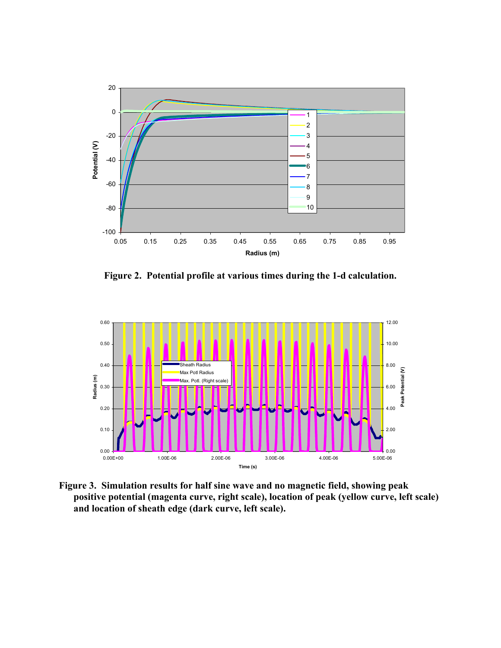

**Figure 2. Potential profile at various times during the 1-d calculation.**



**Figure 3. Simulation results for half sine wave and no magnetic field, showing peak positive potential (magenta curve, right scale), location of peak (yellow curve, left scale) and location of sheath edge (dark curve, left scale).**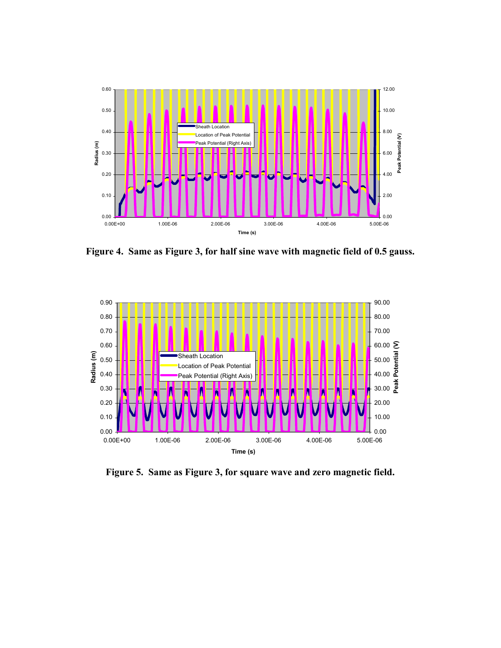

**Figure 4. Same as Figure 3, for half sine wave with magnetic field of 0.5 gauss.** 



**Figure 5. Same as Figure 3, for square wave and zero magnetic field.**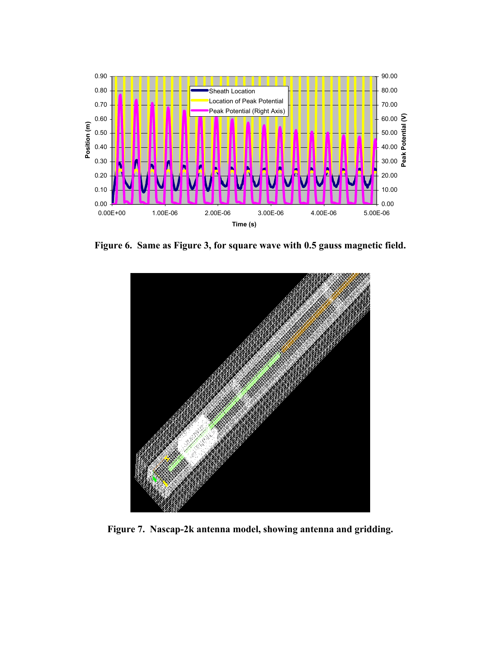

**Figure 6. Same as Figure 3, for square wave with 0.5 gauss magnetic field.** 



**Figure 7. Nascap-2k antenna model, showing antenna and gridding.**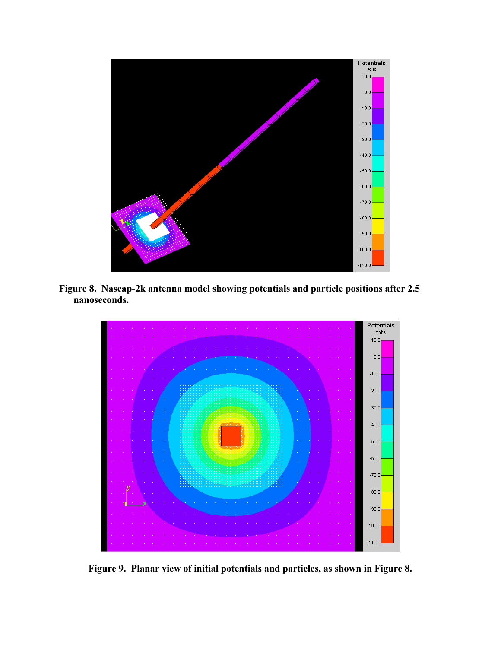

**Figure 8. Nascap-2k antenna model showing potentials and particle positions after 2.5 nanoseconds.** 



**Figure 9. Planar view of initial potentials and particles, as shown in Figure 8.**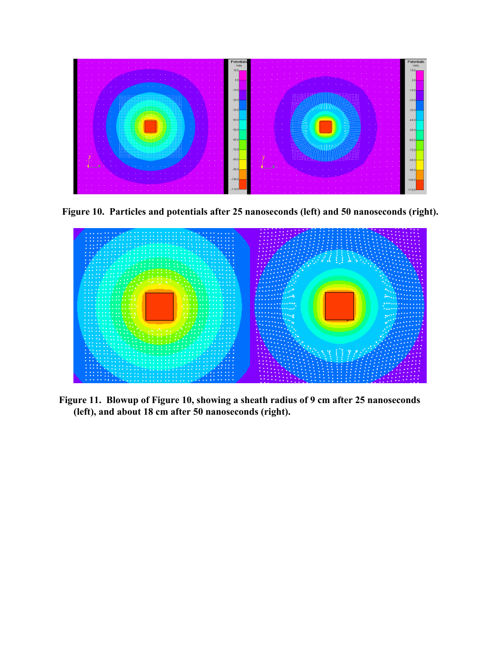

**Figure 10. Particles and potentials after 25 nanoseconds (left) and 50 nanoseconds (right).** 



**Figure 11. Blowup of Figure 10, showing a sheath radius of 9 cm after 25 nanoseconds (left), and about 18 cm after 50 nanoseconds (right).**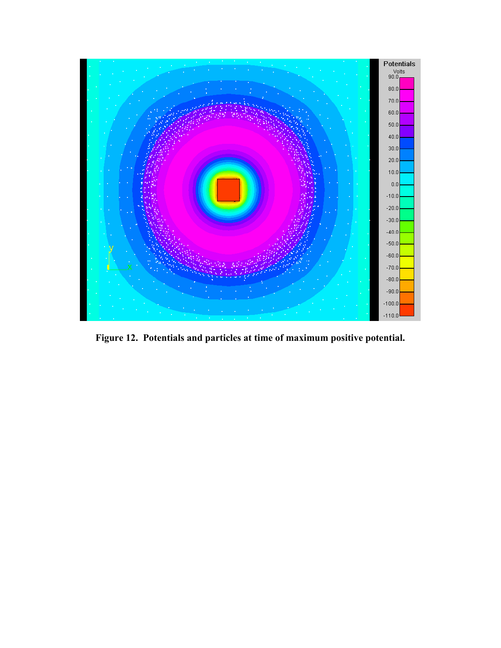

**Figure 12. Potentials and particles at time of maximum positive potential.**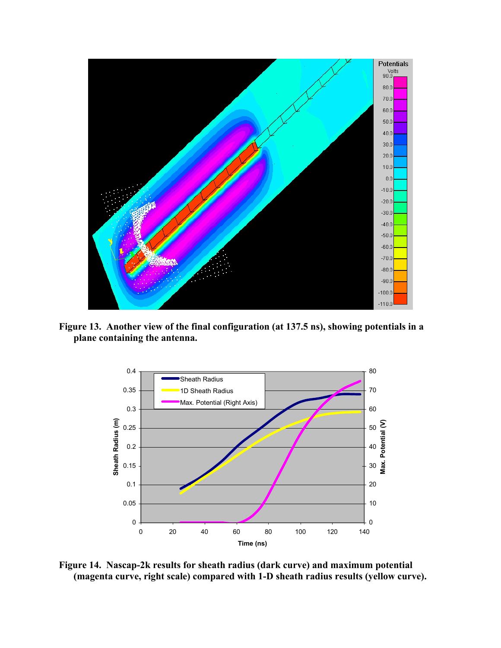

**Figure 13. Another view of the final configuration (at 137.5 ns), showing potentials in a plane containing the antenna.** 



**Figure 14. Nascap-2k results for sheath radius (dark curve) and maximum potential (magenta curve, right scale) compared with 1-D sheath radius results (yellow curve).**